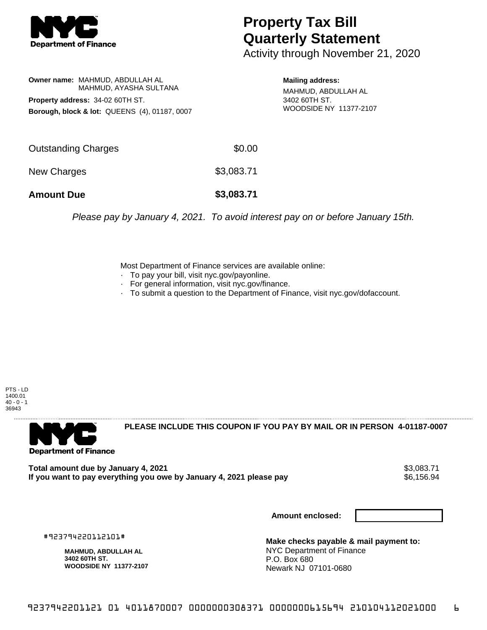

## **Property Tax Bill Quarterly Statement**

Activity through November 21, 2020

**Owner name:** MAHMUD, ABDULLAH AL MAHMUD, AYASHA SULTANA **Property address:** 34-02 60TH ST. **Borough, block & lot:** QUEENS (4), 01187, 0007

**Mailing address:** MAHMUD, ABDULLAH AL 3402 60TH ST. WOODSIDE NY 11377-2107

| <b>Amount Due</b>   | \$3,083.71 |
|---------------------|------------|
| New Charges         | \$3,083.71 |
| Outstanding Charges | \$0.00     |

Please pay by January 4, 2021. To avoid interest pay on or before January 15th.

Most Department of Finance services are available online:

- · To pay your bill, visit nyc.gov/payonline.
- For general information, visit nyc.gov/finance.
- · To submit a question to the Department of Finance, visit nyc.gov/dofaccount.

PTS - LD 1400.01  $40 - 0 - 1$ 36943



**PLEASE INCLUDE THIS COUPON IF YOU PAY BY MAIL OR IN PERSON 4-01187-0007** 

**Total amount due by January 4, 2021**<br>If you want to pay everything you owe by January 4, 2021 please pay **show that the summan was to the set of** 6,156.94 If you want to pay everything you owe by January 4, 2021 please pay

**Amount enclosed:**

#923794220112101#

**MAHMUD, ABDULLAH AL 3402 60TH ST. WOODSIDE NY 11377-2107**

**Make checks payable & mail payment to:** NYC Department of Finance P.O. Box 680 Newark NJ 07101-0680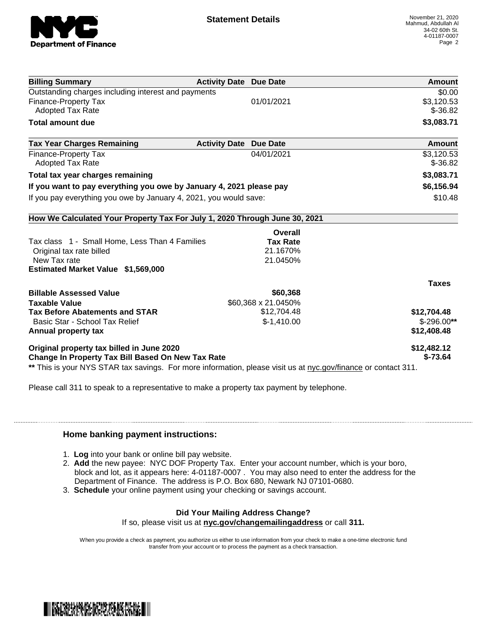

| <b>Billing Summary</b>                                                                                         | <b>Activity Date Due Date</b> | Amount        |
|----------------------------------------------------------------------------------------------------------------|-------------------------------|---------------|
| Outstanding charges including interest and payments                                                            |                               | \$0.00        |
| <b>Finance-Property Tax</b>                                                                                    | 01/01/2021                    | \$3,120.53    |
| <b>Adopted Tax Rate</b>                                                                                        |                               | $$-36.82$     |
| <b>Total amount due</b>                                                                                        |                               | \$3,083.71    |
| <b>Tax Year Charges Remaining</b>                                                                              | <b>Activity Date Due Date</b> | <b>Amount</b> |
| <b>Finance-Property Tax</b>                                                                                    | 04/01/2021                    | \$3,120.53    |
| <b>Adopted Tax Rate</b>                                                                                        |                               | $$-36.82$     |
| Total tax year charges remaining                                                                               |                               | \$3,083.71    |
| If you want to pay everything you owe by January 4, 2021 please pay                                            |                               | \$6,156.94    |
| If you pay everything you owe by January 4, 2021, you would save:                                              |                               | \$10.48       |
| How We Calculated Your Property Tax For July 1, 2020 Through June 30, 2021                                     |                               |               |
|                                                                                                                | Overall                       |               |
| Tax class 1 - Small Home, Less Than 4 Families                                                                 | <b>Tax Rate</b>               |               |
| Original tax rate billed                                                                                       | 21.1670%                      |               |
| New Tax rate                                                                                                   | 21.0450%                      |               |
| Estimated Market Value \$1,569,000                                                                             |                               |               |
|                                                                                                                |                               | <b>Taxes</b>  |
| <b>Billable Assessed Value</b>                                                                                 | \$60,368                      |               |
| <b>Taxable Value</b>                                                                                           | \$60,368 x 21.0450%           |               |
| <b>Tax Before Abatements and STAR</b>                                                                          | \$12,704.48                   | \$12,704.48   |
| Basic Star - School Tax Relief                                                                                 | $$-1,410.00$                  | $$-296.00**$  |
| Annual property tax                                                                                            |                               | \$12,408.48   |
| Original property tax billed in June 2020                                                                      |                               | \$12,482.12   |
| Change In Property Tax Bill Based On New Tax Rate                                                              |                               | $$-73.64$     |
| ** This is your NYS STAR tax savings. For more information, please visit us at nyc.gov/finance or contact 311. |                               |               |

Please call 311 to speak to a representative to make a property tax payment by telephone.

## **Home banking payment instructions:**

- 1. **Log** into your bank or online bill pay website.
- 2. **Add** the new payee: NYC DOF Property Tax. Enter your account number, which is your boro, block and lot, as it appears here: 4-01187-0007 . You may also need to enter the address for the Department of Finance. The address is P.O. Box 680, Newark NJ 07101-0680.
- 3. **Schedule** your online payment using your checking or savings account.

## **Did Your Mailing Address Change?**

If so, please visit us at **nyc.gov/changemailingaddress** or call **311.**

When you provide a check as payment, you authorize us either to use information from your check to make a one-time electronic fund transfer from your account or to process the payment as a check transaction.